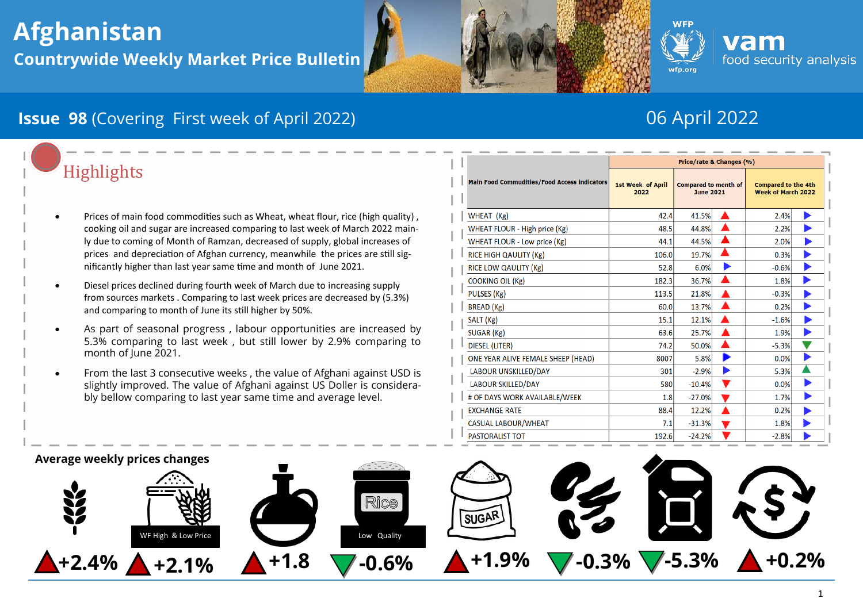# **Afghanistan Countrywide Weekly Market Price Bulletin**





# **Issue 98** (Covering First week of April 2022) 06 April 2022

# **Highlights**

- Prices of main food commodities such as Wheat, wheat flour, rice (high quality) , cooking oil and sugar are increased comparing to last week of March 2022 mainly due to coming of Month of Ramzan, decreased of supply, global increases of prices and depreciation of Afghan currency, meanwhile the prices are still significantly higher than last year same time and month of June 2021.
- Diesel prices declined during fourth week of March due to increasing supply from sources markets . Comparing to last week prices are decreased by (5.3%) and comparing to month of June its still higher by 50%.
- As part of seasonal progress , labour opportunities are increased by 5.3% comparing to last week , but still lower by 2.9% comparing to month of June 2021.
- From the last 3 consecutive weeks , the value of Afghani against USD is slightly improved. The value of Afghani against US Doller is considerably bellow comparing to last year same time and average level.

| <b>Main Food Commudities/Food Access indicators</b> | Price/rate & Changes (%)         |                                                 |  |                                                         |  |
|-----------------------------------------------------|----------------------------------|-------------------------------------------------|--|---------------------------------------------------------|--|
|                                                     | <b>1st Week of April</b><br>2022 | <b>Compared to month of</b><br><b>June 2021</b> |  | <b>Compared to the 4th</b><br><b>Week of March 2022</b> |  |
| WHEAT (Kg)                                          | 42.4                             | 41.5%                                           |  | 2.4%                                                    |  |
| WHEAT FLOUR - High price (Kg)                       | 48.5                             | 44.8%                                           |  | 2.2%                                                    |  |
| WHEAT FLOUR - Low price (Kg)                        | 44.1                             | 44.5%                                           |  | 2.0%                                                    |  |
| RICE HIGH QAULITY (Kg)                              | 106.0                            | 19.7%                                           |  | 0.3%                                                    |  |
| RICE LOW QAULITY (Kg)                               | 52.8                             | 6.0%                                            |  | $-0.6%$                                                 |  |
| <b>COOKING OIL (Kg)</b>                             | 182.3                            | 36.7%                                           |  | 1.8%                                                    |  |
| PULSES (Kg)                                         | 113.5                            | 21.8%                                           |  | $-0.3%$                                                 |  |
| BREAD (Kg)                                          | 60.0                             | 13.7%                                           |  | 0.2%                                                    |  |
| SALT (Kg)                                           | 15.1                             | 12.1%                                           |  | $-1.6%$                                                 |  |
| SUGAR (Kg)                                          | 63.6                             | 25.7%                                           |  | 1.9%                                                    |  |
| DIESEL (LITER)                                      | 74.2                             | 50.0%                                           |  | $-5.3%$                                                 |  |
| ONE YEAR ALIVE FEMALE SHEEP (HEAD)                  | 8007                             | 5.8%                                            |  | 0.0%                                                    |  |
| LABOUR UNSKILLED/DAY                                | 301                              | $-2.9%$                                         |  | 5.3%                                                    |  |
| LABOUR SKILLED/DAY                                  | 580                              | $-10.4%$                                        |  | 0.0%                                                    |  |
| # OF DAYS WORK AVAILABLE/WEEK                       | 1.8                              | $-27.0%$                                        |  | 1.7%                                                    |  |
| <b>EXCHANGE RATE</b>                                | 88.4                             | 12.2%                                           |  | 0.2%                                                    |  |
| <b>CASUAL LABOUR/WHEAT</b>                          | 7.1                              | $-31.3%$                                        |  | 1.8%                                                    |  |
| <b>PASTORALIST TOT</b>                              | 192.6                            | $-24.2%$                                        |  | $-2.8%$                                                 |  |